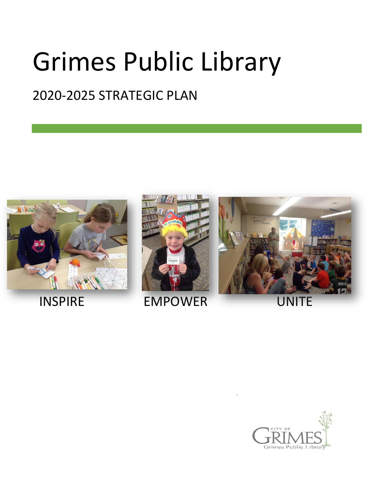# Grimes Public Library

# 2020-2025 STRATEGIC PLAN



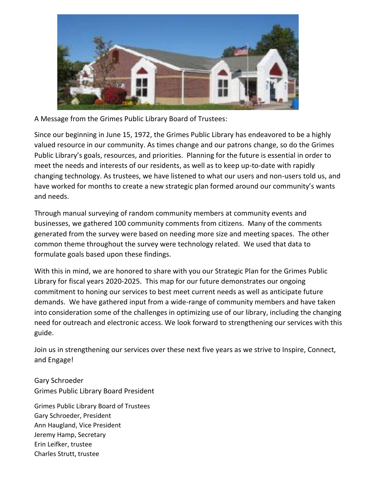

A Message from the Grimes Public Library Board of Trustees:

Since our beginning in June 15, 1972, the Grimes Public Library has endeavored to be a highly valued resource in our community. As times change and our patrons change, so do the Grimes Public Library's goals, resources, and priorities. Planning for the future is essential in order to meet the needs and interests of our residents, as well as to keep up-to-date with rapidly changing technology. As trustees, we have listened to what our users and non-users told us, and have worked for months to create a new strategic plan formed around our community's wants and needs.

Through manual surveying of random community members at community events and businesses, we gathered 100 community comments from citizens. Many of the comments generated from the survey were based on needing more size and meeting spaces. The other common theme throughout the survey were technology related. We used that data to formulate goals based upon these findings.

With this in mind, we are honored to share with you our Strategic Plan for the Grimes Public Library for fiscal years 2020-2025. This map for our future demonstrates our ongoing commitment to honing our services to best meet current needs as well as anticipate future demands. We have gathered input from a wide-range of community members and have taken into consideration some of the challenges in optimizing use of our library, including the changing need for outreach and electronic access. We look forward to strengthening our services with this guide.

Join us in strengthening our services over these next five years as we strive to Inspire, Connect, and Engage!

Gary Schroeder Grimes Public Library Board President

Grimes Public Library Board of Trustees Gary Schroeder, President Ann Haugland, Vice President Jeremy Hamp, Secretary Erin Leifker, trustee Charles Strutt, trustee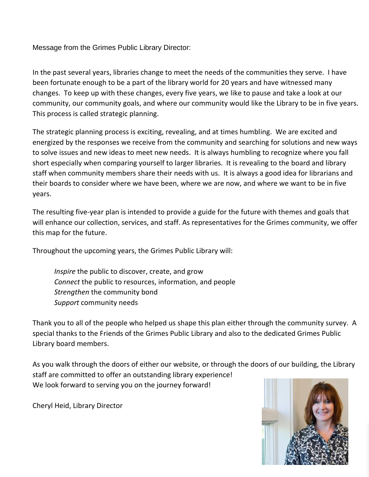Message from the Grimes Public Library Director:

In the past several years, libraries change to meet the needs of the communities they serve. I have been fortunate enough to be a part of the library world for 20 years and have witnessed many changes. To keep up with these changes, every five years, we like to pause and take a look at our community, our community goals, and where our community would like the Library to be in five years. This process is called strategic planning.

The strategic planning process is exciting, revealing, and at times humbling. We are excited and energized by the responses we receive from the community and searching for solutions and new ways to solve issues and new ideas to meet new needs. It is always humbling to recognize where you fall short especially when comparing yourself to larger libraries. It is revealing to the board and library staff when community members share their needs with us. It is always a good idea for librarians and their boards to consider where we have been, where we are now, and where we want to be in five years.

The resulting five-year plan is intended to provide a guide for the future with themes and goals that will enhance our collection, services, and staff. As representatives for the Grimes community, we offer this map for the future.

Throughout the upcoming years, the Grimes Public Library will:

*Inspire* the public to discover, create, and grow *Connect* the public to resources, information, and people *Strengthen* the community bond *Support* community needs

Thank you to all of the people who helped us shape this plan either through the community survey. A special thanks to the Friends of the Grimes Public Library and also to the dedicated Grimes Public Library board members.

As you walk through the doors of either our website, or through the doors of our building, the Library staff are committed to offer an outstanding library experience! We look forward to serving you on the journey forward!

Cheryl Heid, Library Director

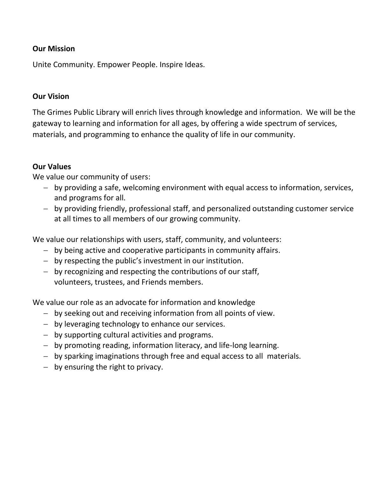#### **Our Mission**

Unite Community. Empower People. Inspire Ideas.

#### **Our Vision**

The Grimes Public Library will enrich lives through knowledge and information. We will be the gateway to learning and information for all ages, by offering a wide spectrum of services, materials, and programming to enhance the quality of life in our community.

#### **Our Values**

We value our community of users:

- by providing a safe, welcoming environment with equal access to information, services, and programs for all.
- by providing friendly, professional staff, and personalized outstanding customer service at all times to all members of our growing community.

We value our relationships with users, staff, community, and volunteers:

- by being active and cooperative participants in community affairs.
- by respecting the public's investment in our institution.
- by recognizing and respecting the contributions of our staff, volunteers, trustees, and Friends members.

We value our role as an advocate for information and knowledge

- by seeking out and receiving information from all points of view.
- by leveraging technology to enhance our services.
- by supporting cultural activities and programs.
- by promoting reading, information literacy, and life-long learning.
- by sparking imaginations through free and equal access to all materials.
- $-$  by ensuring the right to privacy.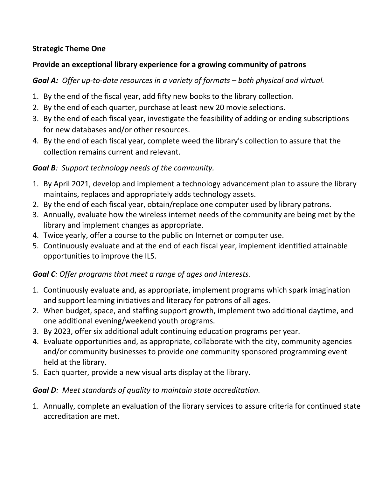#### **Strategic Theme One**

#### **Provide an exceptional library experience for a growing community of patrons**

*Goal A:* Offer up-to-date resources in a variety of formats – both physical and virtual.

- 1. By the end of the fiscal year, add fifty new books to the library collection.
- 2. By the end of each quarter, purchase at least new 20 movie selections.
- 3. By the end of each fiscal year, investigate the feasibility of adding or ending subscriptions for new databases and/or other resources.
- 4. By the end of each fiscal year, complete weed the library's collection to assure that the collection remains current and relevant.

#### *Goal B: Support technology needs of the community.*

- 1. By April 2021, develop and implement a technology advancement plan to assure the library maintains, replaces and appropriately adds technology assets.
- 2. By the end of each fiscal year, obtain/replace one computer used by library patrons.
- 3. Annually, evaluate how the wireless internet needs of the community are being met by the library and implement changes as appropriate.
- 4. Twice yearly, offer a course to the public on Internet or computer use.
- 5. Continuously evaluate and at the end of each fiscal year, implement identified attainable opportunities to improve the ILS.

# *Goal C: Offer programs that meet a range of ages and interests.*

- 1. Continuously evaluate and, as appropriate, implement programs which spark imagination and support learning initiatives and literacy for patrons of all ages.
- 2. When budget, space, and staffing support growth, implement two additional daytime, and one additional evening/weekend youth programs.
- 3. By 2023, offer six additional adult continuing education programs per year.
- 4. Evaluate opportunities and, as appropriate, collaborate with the city, community agencies and/or community businesses to provide one community sponsored programming event held at the library.
- 5. Each quarter, provide a new visual arts display at the library.

# *Goal D: Meet standards of quality to maintain state accreditation.*

1. Annually, complete an evaluation of the library services to assure criteria for continued state accreditation are met.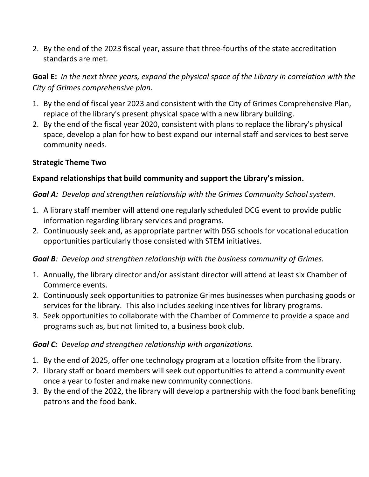2. By the end of the 2023 fiscal year, assure that three-fourths of the state accreditation standards are met.

# **Goal E:** *In the next three years, expand the physical space of the Library in correlation with the City of Grimes comprehensive plan.*

- 1. By the end of fiscal year 2023 and consistent with the City of Grimes Comprehensive Plan, replace of the library's present physical space with a new library building.
- 2. By the end of the fiscal year 2020, consistent with plans to replace the library's physical space, develop a plan for how to best expand our internal staff and services to best serve community needs.

#### **Strategic Theme Two**

#### **Expand relationships that build community and support the Library's mission.**

#### *Goal A: Develop and strengthen relationship with the Grimes Community School system.*

- 1. A library staff member will attend one regularly scheduled DCG event to provide public information regarding library services and programs.
- 2. Continuously seek and, as appropriate partner with DSG schools for vocational education opportunities particularly those consisted with STEM initiatives.

#### *Goal B: Develop and strengthen relationship with the business community of Grimes.*

- 1. Annually, the library director and/or assistant director will attend at least six Chamber of Commerce events.
- 2. Continuously seek opportunities to patronize Grimes businesses when purchasing goods or services for the library. This also includes seeking incentives for library programs.
- 3. Seek opportunities to collaborate with the Chamber of Commerce to provide a space and programs such as, but not limited to, a business book club.

#### *Goal C: Develop and strengthen relationship with organizations.*

- 1. By the end of 2025, offer one technology program at a location offsite from the library.
- 2. Library staff or board members will seek out opportunities to attend a community event once a year to foster and make new community connections.
- 3. By the end of the 2022, the library will develop a partnership with the food bank benefiting patrons and the food bank.